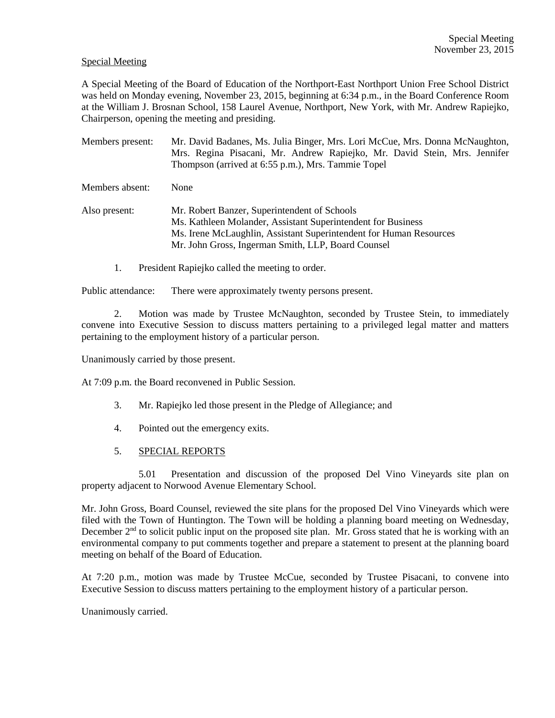## Special Meeting

A Special Meeting of the Board of Education of the Northport-East Northport Union Free School District was held on Monday evening, November 23, 2015, beginning at 6:34 p.m., in the Board Conference Room at the William J. Brosnan School, 158 Laurel Avenue, Northport, New York, with Mr. Andrew Rapiejko, Chairperson, opening the meeting and presiding.

Members present: Mr. David Badanes, Ms. Julia Binger, Mrs. Lori McCue, Mrs. Donna McNaughton, Mrs. Regina Pisacani, Mr. Andrew Rapiejko, Mr. David Stein, Mrs. Jennifer Thompson (arrived at 6:55 p.m.), Mrs. Tammie Topel Members absent: None Also present: Mr. Robert Banzer, Superintendent of Schools Ms. Kathleen Molander, Assistant Superintendent for Business Ms. Irene McLaughlin, Assistant Superintendent for Human Resources Mr. John Gross, Ingerman Smith, LLP, Board Counsel

1. President Rapiejko called the meeting to order.

Public attendance: There were approximately twenty persons present.

2. Motion was made by Trustee McNaughton, seconded by Trustee Stein, to immediately convene into Executive Session to discuss matters pertaining to a privileged legal matter and matters pertaining to the employment history of a particular person.

Unanimously carried by those present.

At 7:09 p.m. the Board reconvened in Public Session.

- 3. Mr. Rapiejko led those present in the Pledge of Allegiance; and
- 4. Pointed out the emergency exits.
- 5. SPECIAL REPORTS

5.01 Presentation and discussion of the proposed Del Vino Vineyards site plan on property adjacent to Norwood Avenue Elementary School.

Mr. John Gross, Board Counsel, reviewed the site plans for the proposed Del Vino Vineyards which were filed with the Town of Huntington. The Town will be holding a planning board meeting on Wednesday, December  $2<sup>nd</sup>$  to solicit public input on the proposed site plan. Mr. Gross stated that he is working with an environmental company to put comments together and prepare a statement to present at the planning board meeting on behalf of the Board of Education.

At 7:20 p.m., motion was made by Trustee McCue, seconded by Trustee Pisacani, to convene into Executive Session to discuss matters pertaining to the employment history of a particular person.

## Unanimously carried.